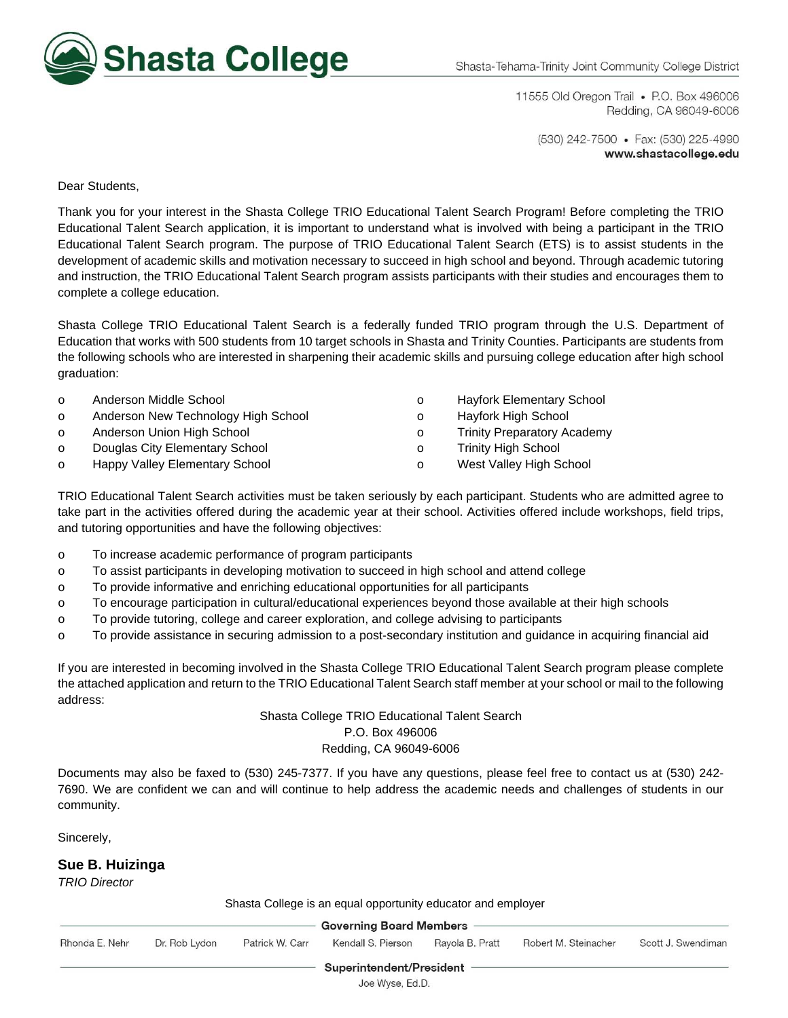

11555 Old Oregon Trail • P.O. Box 496006 Redding, CA 96049-6006

(530) 242-7500 • Fax: (530) 225-4990 www.shastacollege.edu

Dear Students,

Thank you for your interest in the Shasta College TRIO Educational Talent Search Program! Before completing the TRIO Educational Talent Search application, it is important to understand what is involved with being a participant in the TRIO Educational Talent Search program. The purpose of TRIO Educational Talent Search (ETS) is to assist students in the development of academic skills and motivation necessary to succeed in high school and beyond. Through academic tutoring and instruction, the TRIO Educational Talent Search program assists participants with their studies and encourages them to complete a college education.

Shasta College TRIO Educational Talent Search is a federally funded TRIO program through the U.S. Department of Education that works with 500 students from 10 target schools in Shasta and Trinity Counties. Participants are students from the following schools who are interested in sharpening their academic skills and pursuing college education after high school graduation:

| $\Omega$ | Anderson Middle School              |
|----------|-------------------------------------|
| $\Omega$ | Anderson New Technology High School |

- o Anderson Union High School
- o Douglas City Elementary School
- o Happy Valley Elementary School
- o Hayfork Elementary School
- o Hayfork High School
- o Trinity Preparatory Academy
- o Trinity High School
- o West Valley High School

TRIO Educational Talent Search activities must be taken seriously by each participant. Students who are admitted agree to take part in the activities offered during the academic year at their school. Activities offered include workshops, field trips, and tutoring opportunities and have the following objectives:

- o To increase academic performance of program participants
- o To assist participants in developing motivation to succeed in high school and attend college
- o To provide informative and enriching educational opportunities for all participants
- o To encourage participation in cultural/educational experiences beyond those available at their high schools
- o To provide tutoring, college and career exploration, and college advising to participants
- o To provide assistance in securing admission to a post-secondary institution and guidance in acquiring financial aid

If you are interested in becoming involved in the Shasta College TRIO Educational Talent Search program please complete the attached application and return to the TRIO Educational Talent Search staff member at your school or mail to the following address:

### Shasta College TRIO Educational Talent Search P.O. Box 496006 Redding, CA 96049-6006

Documents may also be faxed to (530) 245-7377. If you have any questions, please feel free to contact us at (530) 242- 7690. We are confident we can and will continue to help address the academic needs and challenges of students in our community.

Sincerely,

#### **Sue B. Huizinga**

*TRIO Director* 

| Shasta College is an equal opportunity educator and employer |  |  |
|--------------------------------------------------------------|--|--|

|                |               |                 | <b>Governing Board Members</b> |                 |                      |                    |
|----------------|---------------|-----------------|--------------------------------|-----------------|----------------------|--------------------|
| Rhonda E. Nehr | Dr. Rob Lydon | Patrick W. Carr | Kendall S. Pierson             | Ravola B. Pratt | Robert M. Steinacher | Scott J. Swendimar |
|                |               |                 | Superintendent/President       |                 |                      |                    |

Joe Wyse, Ed.D.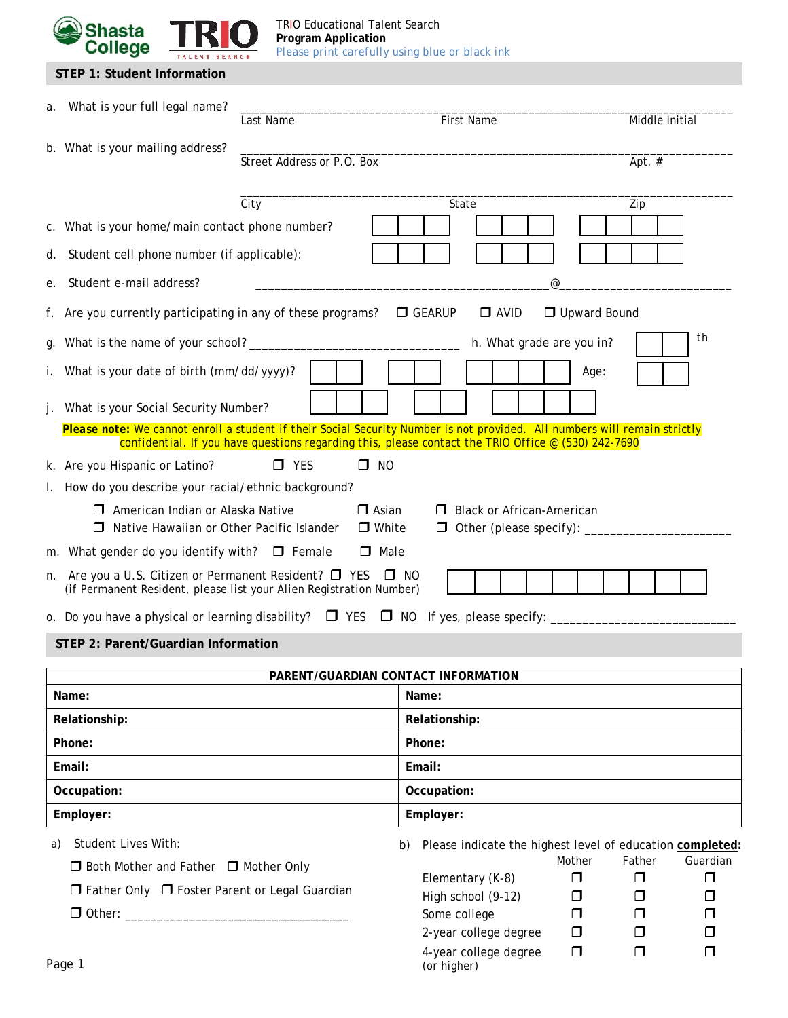

| STEP 1: Student Information |  |
|-----------------------------|--|
|-----------------------------|--|

| What is your full legal name?<br>а.                                                                                                   | Last Name                    | First Name                                                                                                     | Middle Initial                                             |  |
|---------------------------------------------------------------------------------------------------------------------------------------|------------------------------|----------------------------------------------------------------------------------------------------------------|------------------------------------------------------------|--|
| b. What is your mailing address?                                                                                                      | Street Address or P.O. Box   |                                                                                                                | Apt. $#$                                                   |  |
|                                                                                                                                       |                              |                                                                                                                |                                                            |  |
|                                                                                                                                       | City                         | State                                                                                                          | Zip                                                        |  |
| c. What is your home/main contact phone number?                                                                                       |                              |                                                                                                                |                                                            |  |
| Student cell phone number (if applicable):<br>d.                                                                                      |                              |                                                                                                                |                                                            |  |
| Student e-mail address?<br>е.                                                                                                         |                              |                                                                                                                | @                                                          |  |
| Are you currently participating in any of these programs?<br>t.                                                                       |                              | $\Box$ GEARUP<br>$\Box$ AVID                                                                                   | Upward Bound                                               |  |
| g.                                                                                                                                    |                              | h. What grade are you in?                                                                                      | th                                                         |  |
| What is your date of birth (mm/dd/yyyy)?                                                                                              |                              |                                                                                                                | Age:                                                       |  |
| What is your Social Security Number?                                                                                                  |                              |                                                                                                                |                                                            |  |
| Please note: We cannot enroll a student if their Social Security Number is not provided. All numbers will remain strictly             |                              | confidential. If you have questions regarding this, please contact the TRIO Office $\mathcal{Q}(530)$ 242-7690 |                                                            |  |
| k. Are you Hispanic or Latino?                                                                                                        | $\square$ NO<br>$\Box$ YES   |                                                                                                                |                                                            |  |
| How do you describe your racial/ethnic background?                                                                                    |                              |                                                                                                                |                                                            |  |
| $\Box$ American Indian or Alaska Native<br>Native Hawaiian or Other Pacific Islander                                                  | $\Box$ Asian<br>$\Box$ White | $\Box$ Black or African-American                                                                               |                                                            |  |
| m. What gender do you identify with? $\Box$ Female                                                                                    | $\Box$ Male                  |                                                                                                                |                                                            |  |
| Are you a U.S. Citizen or Permanent Resident? $\Box$ YES<br>n.<br>(if Permanent Resident, please list your Alien Registration Number) |                              | $\Box$ NO                                                                                                      |                                                            |  |
| o. Do you have a physical or learning disability? $\square$ YES $\square$ NO If yes, please specify: _____                            |                              |                                                                                                                |                                                            |  |
| STEP 2: Parent/Guardian Information                                                                                                   |                              |                                                                                                                |                                                            |  |
|                                                                                                                                       |                              | PARENT/GUARDIAN CONTACT INFORMATION                                                                            |                                                            |  |
| Name:                                                                                                                                 |                              | Name:                                                                                                          |                                                            |  |
| Relationship:                                                                                                                         |                              | Relationship:                                                                                                  |                                                            |  |
| Phone:                                                                                                                                |                              | Phone:                                                                                                         |                                                            |  |
| Email:                                                                                                                                |                              | Email:                                                                                                         |                                                            |  |
| Occupation:                                                                                                                           |                              | Occupation:                                                                                                    |                                                            |  |
| Employer:                                                                                                                             |                              | Employer:                                                                                                      |                                                            |  |
| <b>Student Lives With:</b><br>a)                                                                                                      |                              | b)                                                                                                             | Please indicate the highest level of education completed:  |  |
| $\Box$ Both Mother and Father $\Box$ Mother Only<br>□ Father Only □ Foster Parent or Legal Guardian                                   |                              |                                                                                                                | Father<br>Guardian<br>Mother<br>$\Box$<br>$\Box$<br>$\Box$ |  |
|                                                                                                                                       |                              | Elementary (K-8)<br>High school (9-12)                                                                         | $\Box$<br>□<br>□                                           |  |
|                                                                                                                                       |                              | Some college                                                                                                   | $\Box$<br>□<br>□                                           |  |
|                                                                                                                                       |                              | 2-year college degree                                                                                          | $\Box$<br>□<br>□                                           |  |
|                                                                                                                                       |                              | 4-year college degree                                                                                          | $\Box$<br>$\Box$<br>◘                                      |  |

*(or higher)*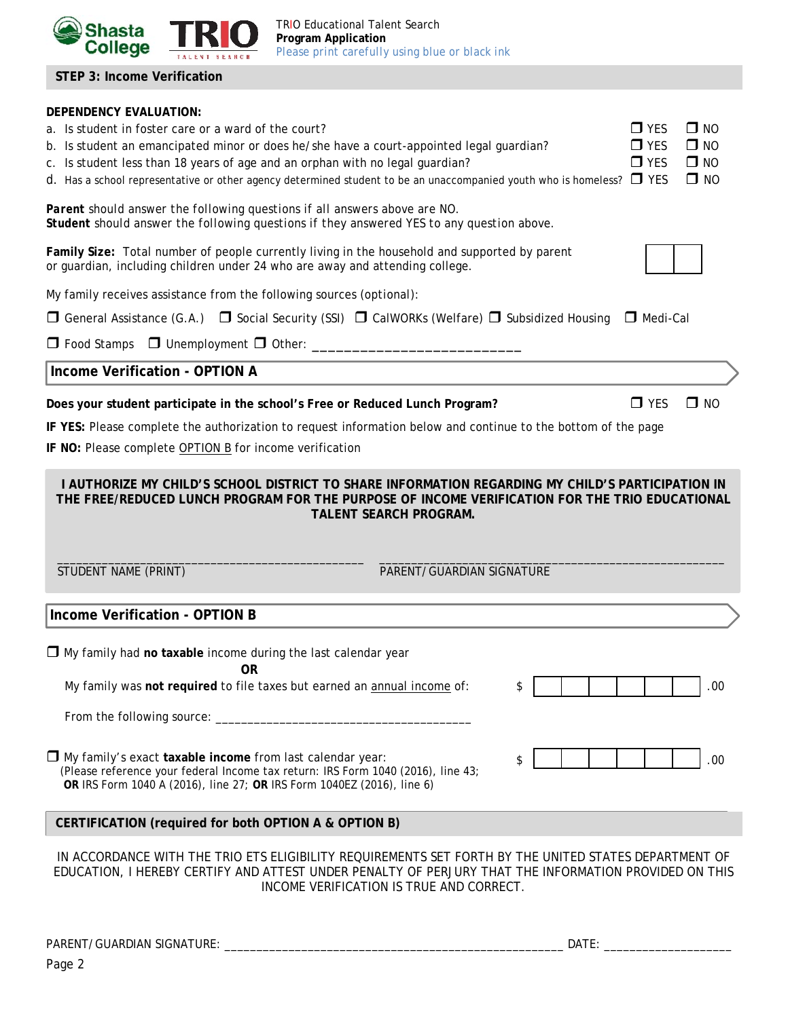

TRIO Educational Talent Search **Program Application**  *Please print carefully using blue or black ink* 

**STEP 3: Income Verification** 

# **DEPENDENCY EVALUATION:**  a. Is student in foster care or a ward of the court?  $\Box$  YES  $\Box$  NO b. Is student an emancipated minor or does he/she have a court-appointed legal guardian?  $\Box$  YES  $\Box$  NO c. Is student less than 18 years of age and an orphan with no legal guardian?  $\square$  YES  $\square$  NO d. Has a school representative or other agency determined student to be an unaccompanied youth who is homeless?  $\Box$  YES  $\Box$  NO *Parent should answer the following questions if all answers above are NO. Student should answer the following questions if they answered YES to any question above.*  **Family Size:** Total number of people currently living in the household and supported by parent or guardian, including children under 24 who are away and attending college. My family receives assistance from the following sources (*optional*):  $\Box$  General Assistance (G.A.)  $\Box$  Social Security (SSI)  $\Box$  CalWORKs (Welfare)  $\Box$  Subsidized Housing  $\Box$  Medi-Cal  $\Box$  Food Stamps  $\Box$  Unemployment  $\Box$  Other:  $\Box$  **Income Verification - OPTION A Does your student participate in the school's Free or Reduced Lunch Program?**  $\Box$  YES  $\Box$  NO **IF YES:** Please complete the authorization to request information below and continue to the bottom of the page **IF NO:** Please complete OPTION B for income verification **I AUTHORIZE MY CHILD'S SCHOOL DISTRICT TO SHARE INFORMATION REGARDING MY CHILD'S PARTICIPATION IN THE FREE/REDUCED LUNCH PROGRAM FOR THE PURPOSE OF INCOME VERIFICATION FOR THE TRIO EDUCATIONAL TALENT SEARCH PROGRAM.**   $\overline{\phantom{a}}$  , and the set of the set of the set of the set of the set of the set of the set of the set of the set of the set of the set of the set of the set of the set of the set of the set of the set of the set of the s STUDENT NAME (PRINT) THE RESERVE OF PARENT/GUARDIAN SIGNATURE **Income Verification - OPTION B** My family had **no taxable** income during the last calendar year **OR**  My family was **not required** to file taxes but earned an annual income of: From the following source: \_\_\_\_\_\_\_\_\_\_\_\_\_\_\_\_\_\_\_\_\_\_\_\_\_\_\_\_\_\_\_\_\_\_\_\_\_\_\_\_ My family's exact **taxable income** from last calendar year: (Please reference your federal Income tax return: IRS Form 1040 (2016), line 43; **OR** IRS Form 1040 A (2016), line 27; **OR** IRS Form 1040EZ (2016), line 6) IN ACCORDANCE WITH THE TRIO ETS ELIGIBILITY REQUIREMENTS SET FORTH BY THE UNITED STATES DEPARTMENT OF EDUCATION, I HEREBY CERTIFY AND ATTEST UNDER PENALTY OF PERJURY THAT THE INFORMATION PROVIDED ON THIS INCOME VERIFICATION IS TRUE AND CORRECT.  $\text{\$}$  .00  $\text{S}$  .  $\vert$  .  $\vert$  .  $\vert$  .  $\vert$  .  $\vert$  .  $\vert$  . 00 **CERTIFICATION (required for both OPTION A & OPTION B)**

PARENT/GUARDIAN SIGNATURE: \_\_\_\_\_\_\_\_\_\_\_\_\_\_\_\_\_\_\_\_\_\_\_\_\_\_\_\_\_\_\_\_\_\_\_\_\_\_\_\_\_\_\_\_\_\_\_\_\_\_\_\_\_ DATE: \_\_\_\_\_\_\_\_\_\_\_\_\_\_\_\_\_\_\_\_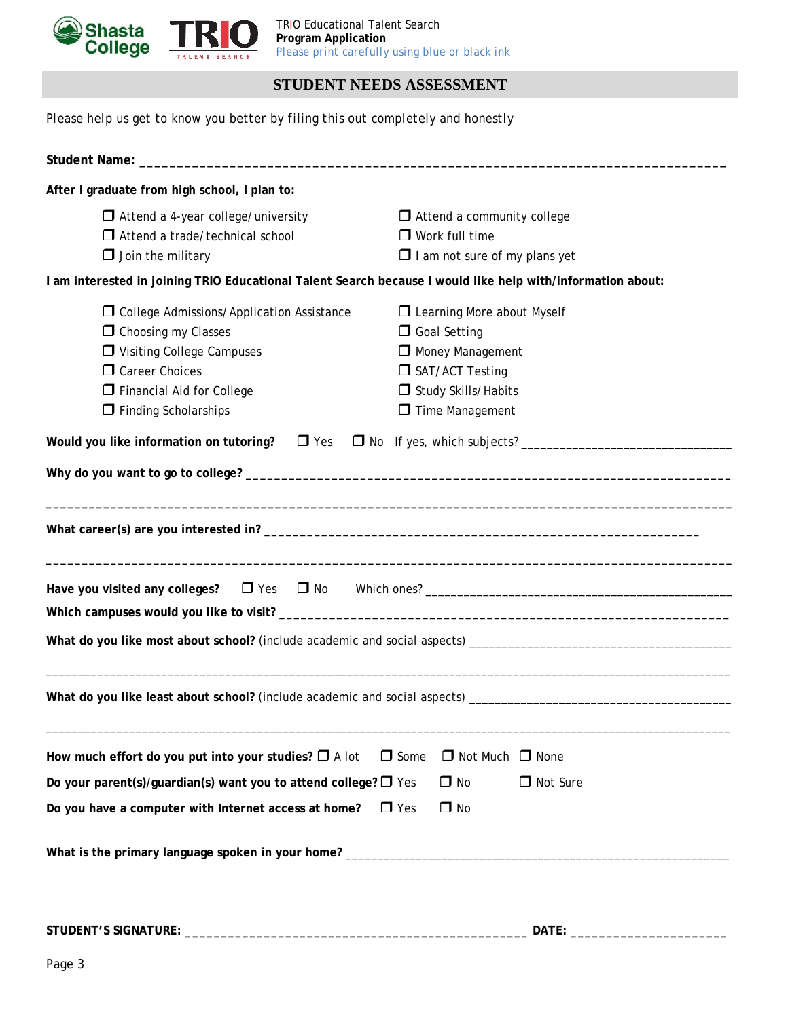

## **STUDENT NEEDS ASSESSMENT**

*Please help us get to know you better by filing this out completely and honestly* 

| After I graduate from high school, I plan to:                                                               |                                      |  |  |  |
|-------------------------------------------------------------------------------------------------------------|--------------------------------------|--|--|--|
| $\Box$ Attend a 4-year college/university                                                                   | $\Box$ Attend a community college    |  |  |  |
| $\Box$ Attend a trade/technical school                                                                      | $\Box$ Work full time                |  |  |  |
| $\Box$ Join the military                                                                                    | $\Box$ I am not sure of my plans yet |  |  |  |
| I am interested in joining TRIO Educational Talent Search because I would like help with/information about: |                                      |  |  |  |
| □ College Admissions/Application Assistance                                                                 | Learning More about Myself           |  |  |  |
| <b>O</b> Choosing my Classes                                                                                | □ Goal Setting                       |  |  |  |
| Visiting College Campuses                                                                                   | Money Management                     |  |  |  |
| Career Choices                                                                                              | SAT/ACT Testing                      |  |  |  |
| Financial Aid for College                                                                                   | Study Skills/Habits                  |  |  |  |
| $\Box$ Finding Scholarships                                                                                 | Time Management                      |  |  |  |
| Would you like information on tutoring? $\Box$ Yes                                                          |                                      |  |  |  |
|                                                                                                             |                                      |  |  |  |
|                                                                                                             |                                      |  |  |  |
|                                                                                                             |                                      |  |  |  |
|                                                                                                             |                                      |  |  |  |
|                                                                                                             |                                      |  |  |  |
| How much effort do you put into your studies? $\Box$ A lot<br>$\Box$ Some<br>$\Box$ Not Much $\Box$ None    |                                      |  |  |  |
| Do your parent(s)/guardian(s) want you to attend college? $\Box$ Yes<br>□ Not Sure<br>$\Box$ No             |                                      |  |  |  |
| Do you have a computer with Internet access at home?<br>$\Box$ Yes<br>$\Box$ No                             |                                      |  |  |  |
|                                                                                                             |                                      |  |  |  |

**STUDENT'S SIGNATURE: \_\_\_\_\_\_\_\_\_\_\_\_\_\_\_\_\_\_\_\_\_\_\_\_\_\_\_\_\_\_\_\_\_\_\_\_\_\_\_\_\_\_\_\_\_\_\_\_ DATE: \_\_\_\_\_\_\_\_\_\_\_\_\_\_\_\_\_\_\_\_\_\_**